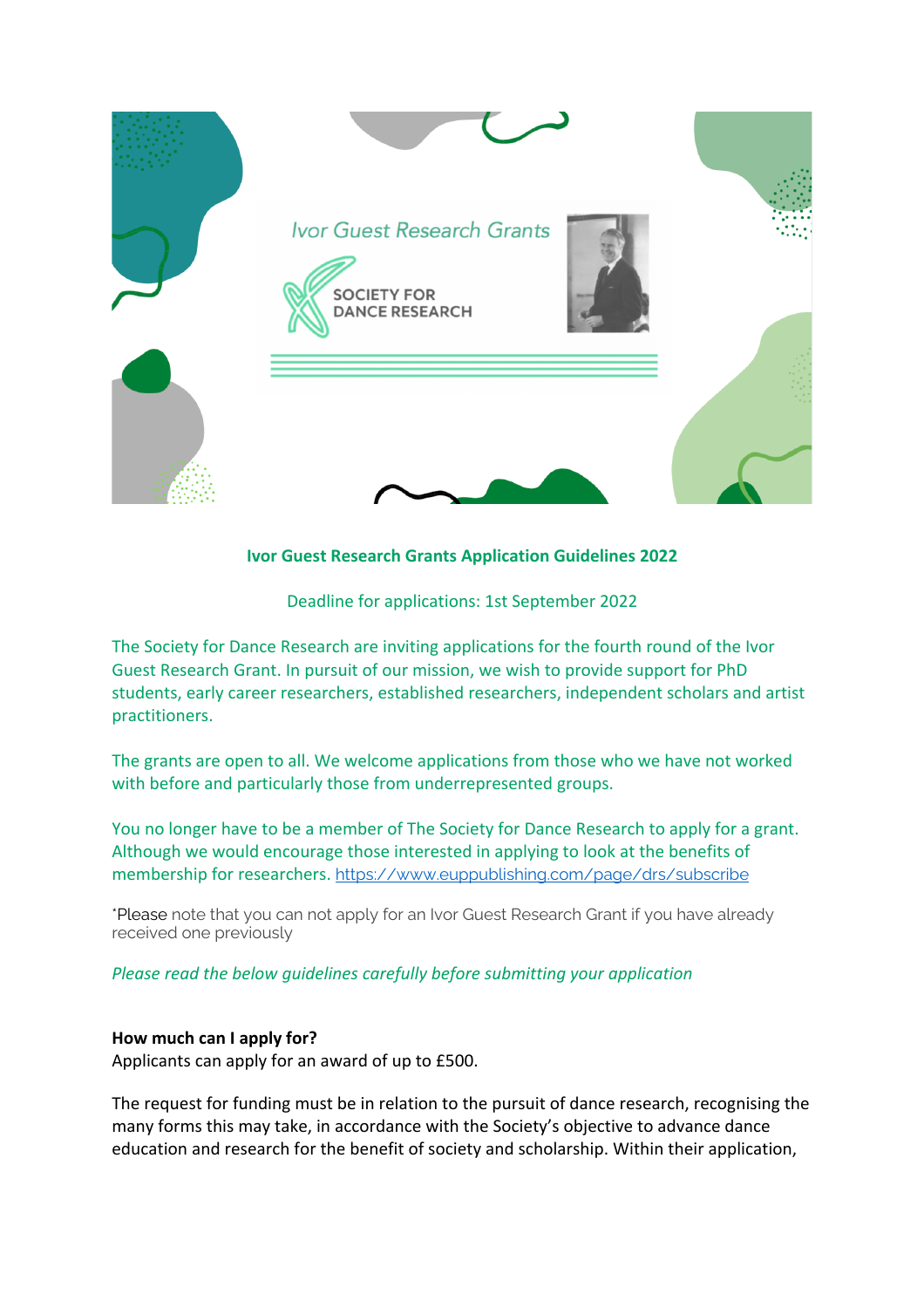

## **Ivor Guest Research Grants Application Guidelines 2022**

Deadline for applications: 1st September 2022

The Society for Dance Research are inviting applications for the fourth round of the Ivor Guest Research Grant. In pursuit of our mission, we wish to provide support for PhD students, early career researchers, established researchers, independent scholars and artist practitioners.

The grants are open to all. We welcome applications from those who we have not worked with before and particularly those from underrepresented groups.

You no longer have to be a member of The Society for Dance Research to apply for a grant. Although we would encourage those interested in applying to look at the benefits of membership for researchers. https://www.euppublishing.com/page/drs/subscribe

\*Please note that you can not apply for an Ivor Guest Research Grant if you have already received one previously

*Please read the below guidelines carefully before submitting your application* 

### **How much can I apply for?**

Applicants can apply for an award of up to £500.

The request for funding must be in relation to the pursuit of dance research, recognising the many forms this may take, in accordance with the Society's objective to advance dance education and research for the benefit of society and scholarship. Within their application,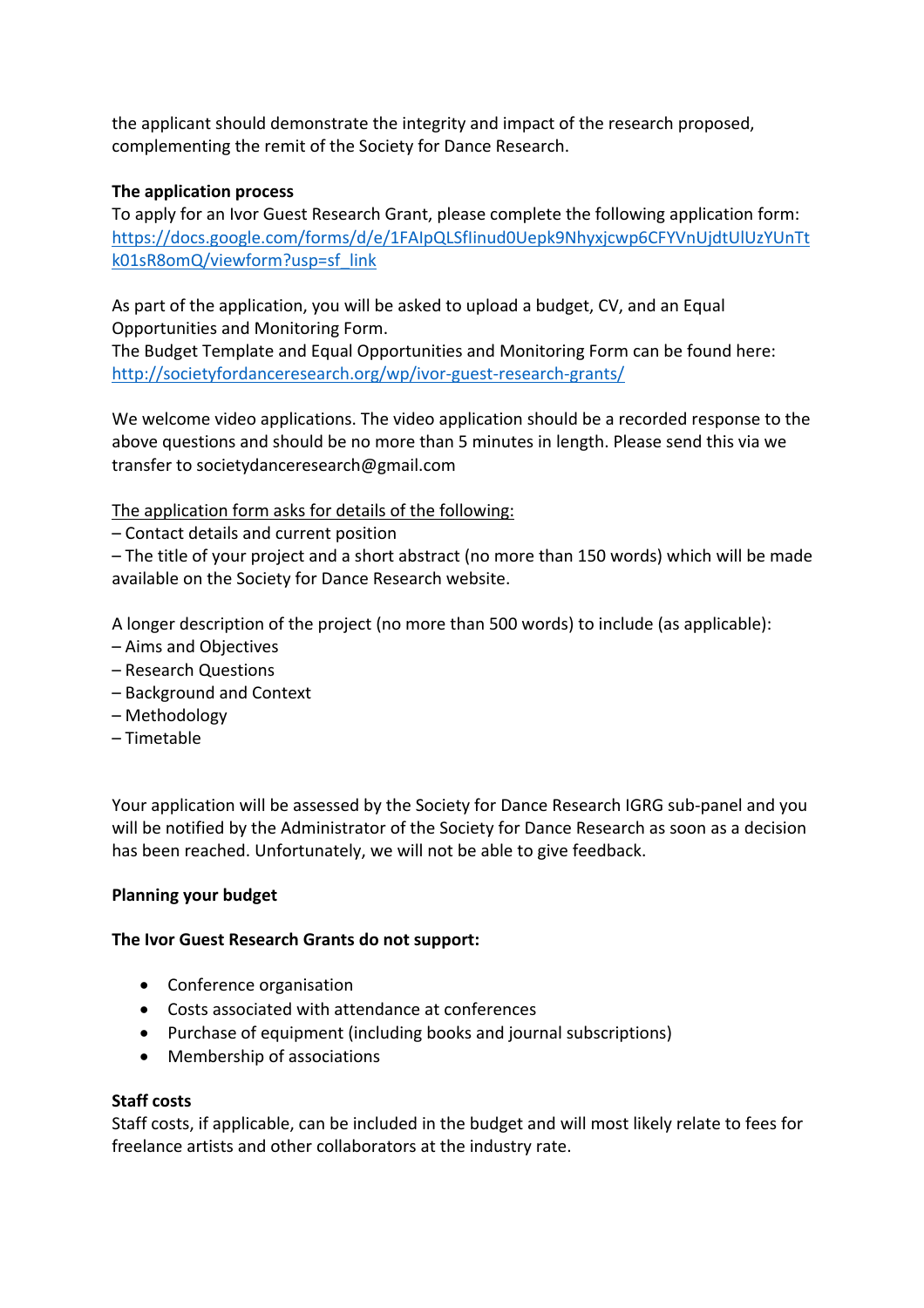the applicant should demonstrate the integrity and impact of the research proposed, complementing the remit of the Society for Dance Research.

# **The application process**

To apply for an Ivor Guest Research Grant, please complete the following application form: https://docs.google.com/forms/d/e/1FAIpQLSfIinud0Uepk9Nhyxjcwp6CFYVnUjdtUlUzYUnTt k01sR8omQ/viewform?usp=sf\_link

As part of the application, you will be asked to upload a budget, CV, and an Equal Opportunities and Monitoring Form.

The Budget Template and Equal Opportunities and Monitoring Form can be found here: http://societyfordanceresearch.org/wp/ivor-guest-research-grants/

We welcome video applications. The video application should be a recorded response to the above questions and should be no more than 5 minutes in length. Please send this via we transfer to societydanceresearch@gmail.com

The application form asks for details of the following:

– Contact details and current position

– The title of your project and a short abstract (no more than 150 words) which will be made available on the Society for Dance Research website.

A longer description of the project (no more than 500 words) to include (as applicable):

- Aims and Objectives
- Research Questions
- Background and Context
- Methodology
- Timetable

Your application will be assessed by the Society for Dance Research IGRG sub-panel and you will be notified by the Administrator of the Society for Dance Research as soon as a decision has been reached. Unfortunately, we will not be able to give feedback.

### **Planning your budget**

### **The Ivor Guest Research Grants do not support:**

- Conference organisation
- Costs associated with attendance at conferences
- Purchase of equipment (including books and journal subscriptions)
- Membership of associations

### **Staff costs**

Staff costs, if applicable, can be included in the budget and will most likely relate to fees for freelance artists and other collaborators at the industry rate.